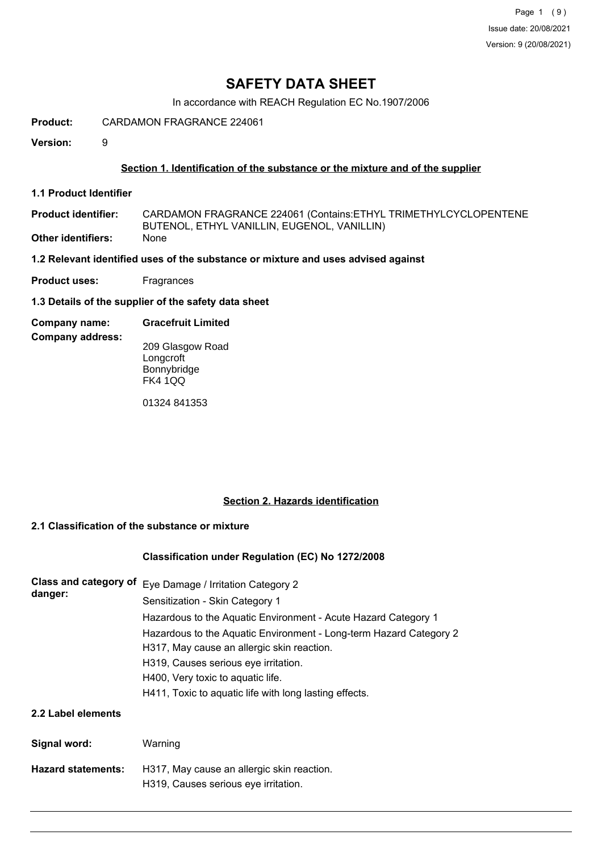# **SAFETY DATA SHEET**

In accordance with REACH Regulation EC No.1907/2006

**Product:** CARDAMON FRAGRANCE 224061

**Version:** 9

## **Section 1. Identification of the substance or the mixture and of the supplier**

**1.1 Product Identifier**

CARDAMON FRAGRANCE 224061 (Contains:ETHYL TRIMETHYLCYCLOPENTENE BUTENOL, ETHYL VANILLIN, EUGENOL, VANILLIN) **Product identifier: Other identifiers:** None

**1.2 Relevant identified uses of the substance or mixture and uses advised against**

- **Product uses:** Fragrances
- **1.3 Details of the supplier of the safety data sheet**

#### **Company name: Gracefruit Limited**

**Company address:**

209 Glasgow Road **Longcroft** Bonnybridge FK4 1QQ

01324 841353

## **Section 2. Hazards identification**

## **2.1 Classification of the substance or mixture**

## **Classification under Regulation (EC) No 1272/2008**

| Class and category of<br>danger: | Eye Damage / Irritation Category 2<br>Sensitization - Skin Category 1                                            |  |  |  |
|----------------------------------|------------------------------------------------------------------------------------------------------------------|--|--|--|
|                                  | Hazardous to the Aquatic Environment - Acute Hazard Category 1                                                   |  |  |  |
|                                  | Hazardous to the Aquatic Environment - Long-term Hazard Category 2<br>H317, May cause an allergic skin reaction. |  |  |  |
|                                  | H319, Causes serious eye irritation.                                                                             |  |  |  |
|                                  | H400, Very toxic to aquatic life.                                                                                |  |  |  |
|                                  | H411, Toxic to aquatic life with long lasting effects.                                                           |  |  |  |
| 2.2 Label elements               |                                                                                                                  |  |  |  |
| Signal word:                     | Warning                                                                                                          |  |  |  |
| <b>Hazard statements:</b>        | H317, May cause an allergic skin reaction.                                                                       |  |  |  |
|                                  | H319, Causes serious eye irritation.                                                                             |  |  |  |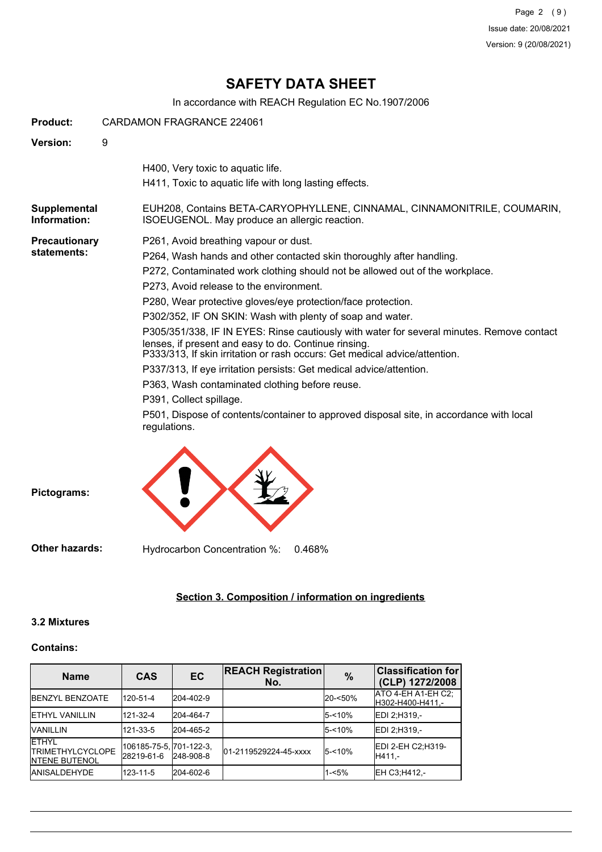Page 2 (9) Issue date: 20/08/2021 Version: 9 (20/08/2021)

# **SAFETY DATA SHEET**

In accordance with REACH Regulation EC No.1907/2006

| Product:                            | CARDAMON FRAGRANCE 224061                                                                                                                                                                                                                                                                                                                                                                                                                                                                                                                                                                                                                                                                                                                                                                                                                                               |  |  |
|-------------------------------------|-------------------------------------------------------------------------------------------------------------------------------------------------------------------------------------------------------------------------------------------------------------------------------------------------------------------------------------------------------------------------------------------------------------------------------------------------------------------------------------------------------------------------------------------------------------------------------------------------------------------------------------------------------------------------------------------------------------------------------------------------------------------------------------------------------------------------------------------------------------------------|--|--|
| Version:                            | 9                                                                                                                                                                                                                                                                                                                                                                                                                                                                                                                                                                                                                                                                                                                                                                                                                                                                       |  |  |
|                                     | H400, Very toxic to aquatic life.<br>H411, Toxic to aquatic life with long lasting effects.                                                                                                                                                                                                                                                                                                                                                                                                                                                                                                                                                                                                                                                                                                                                                                             |  |  |
| Supplemental<br>Information:        | EUH208, Contains BETA-CARYOPHYLLENE, CINNAMAL, CINNAMONITRILE, COUMARIN,<br>ISOEUGENOL. May produce an allergic reaction.                                                                                                                                                                                                                                                                                                                                                                                                                                                                                                                                                                                                                                                                                                                                               |  |  |
| <b>Precautionary</b><br>statements: | P261, Avoid breathing vapour or dust.<br>P264, Wash hands and other contacted skin thoroughly after handling.<br>P272, Contaminated work clothing should not be allowed out of the workplace.<br>P273, Avoid release to the environment.<br>P280, Wear protective gloves/eye protection/face protection.<br>P302/352, IF ON SKIN: Wash with plenty of soap and water.<br>P305/351/338, IF IN EYES: Rinse cautiously with water for several minutes. Remove contact<br>lenses, if present and easy to do. Continue rinsing.<br>P333/313, If skin irritation or rash occurs: Get medical advice/attention.<br>P337/313, If eye irritation persists: Get medical advice/attention.<br>P363, Wash contaminated clothing before reuse.<br>P391, Collect spillage.<br>P501, Dispose of contents/container to approved disposal site, in accordance with local<br>regulations. |  |  |
| Pictograms:                         |                                                                                                                                                                                                                                                                                                                                                                                                                                                                                                                                                                                                                                                                                                                                                                                                                                                                         |  |  |

**Other hazards:** Hydrocarbon Concentration %: 0.468%

# **Section 3. Composition / information on ingredients**

#### **3.2 Mixtures**

## **Contains:**

| <b>Name</b>                                                        | <b>CAS</b>                            | EC        | <b>REACH Registration</b><br>No. | $\%$      | <b>Classification for</b><br>(CLP) 1272/2008 |
|--------------------------------------------------------------------|---------------------------------------|-----------|----------------------------------|-----------|----------------------------------------------|
| <b>IBENZYL BENZOATE</b>                                            | 120-51-4                              | 204-402-9 |                                  | 20-<50%   | ATO 4-EH A1-EH C2:<br>H302-H400-H411,-       |
| <b>IETHYL VANILLIN</b>                                             | 121-32-4                              | 204-464-7 |                                  | 5-<10%    | <b>IEDI 2:H319.-</b>                         |
| <b>VANILLIN</b>                                                    | 121-33-5                              | 204-465-2 |                                  | 5-<10%    | EDI 2:H319.-                                 |
| <b>IETHYL</b><br><b>ITRIMETHYLCYCLOPE</b><br><b>INTENE BUTENOL</b> | 106185-75-5, 701-122-3,<br>28219-61-6 | 248-908-8 | 01-2119529224-45-xxxx            | $5 - 10%$ | <b>IEDI 2-EH C2:H319-</b><br>IH411.-         |
| <b>JANISALDEHYDE</b>                                               | 123-11-5                              | 204-602-6 |                                  | $1 - 5%$  | EH C3:H412 .-                                |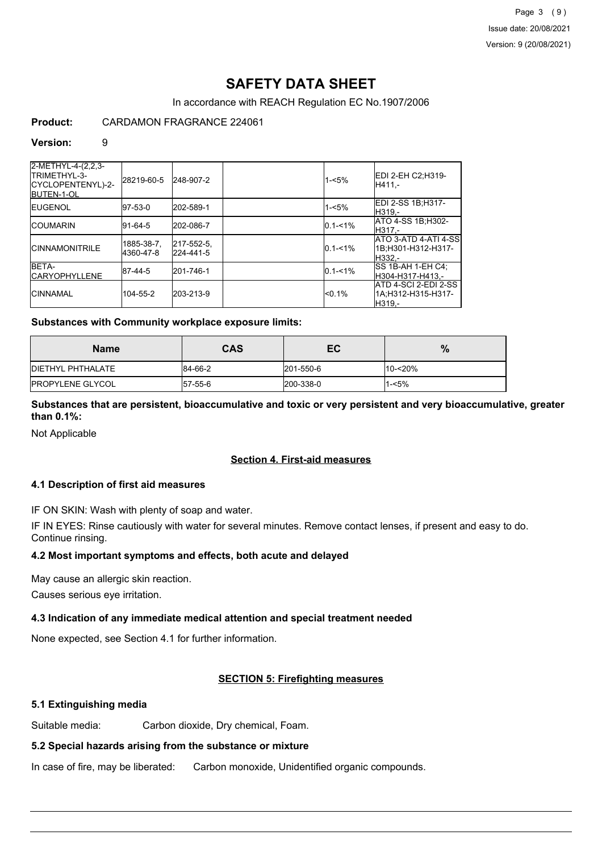# **SAFETY DATA SHEET**

In accordance with REACH Regulation EC No.1907/2006

## **Product:** CARDAMON FRAGRANCE 224061

#### **Version:** 9

| 2-METHYL-4-(2,2,3-<br>ITRIMETHYL-3-<br>ICYCLOPENTENYL)-2-<br><b>IBUTEN-1-OL</b> | l28219-60-5             | 248-907-2               | $1 - 5%$    | IEDI 2-EH C2:H319-<br>IH411.-                          |
|---------------------------------------------------------------------------------|-------------------------|-------------------------|-------------|--------------------------------------------------------|
| <b>IEUGENOL</b>                                                                 | 97-53-0                 | 202-589-1               | $1 - 5%$    | <b>EDI 2-SS 1B;H317-</b><br>IH319.-                    |
| <b>ICOUMARIN</b>                                                                | 91-64-5                 | 202-086-7               | $0.1 - 1\%$ | <b>ATO 4-SS 1B:H302-</b><br>H317.-                     |
| <b>ICINNAMONITRILE</b>                                                          | 1885-38-7.<br>4360-47-8 | 217-552-5.<br>224-441-5 | $0.1 - 1\%$ | ATO 3-ATD 4-ATI 4-SS<br>l1B:H301-H312-H317-<br>IH332.- |
| BETA-<br><b>ICARYOPHYLLENE</b>                                                  | 87-44-5                 | 201-746-1               | $0.1 - 1\%$ | ISS 1B-AH 1-EH C4:<br>H304-H317-H413.-                 |
| <b>ICINNAMAL</b>                                                                | 104-55-2                | 203-213-9               | $< 0.1\%$   | IATD 4-SCI 2-EDI 2-SS<br>1A:H312-H315-H317-<br>H319.-  |

## **Substances with Community workplace exposure limits:**

| <b>Name</b>               | CAS         | ЕC        | $\%$    |
|---------------------------|-------------|-----------|---------|
| <b>IDIETHYL PHTHALATE</b> | 84-66-2     | 201-550-6 | 10-<20% |
| <b>IPROPYLENE GLYCOL</b>  | $ 57-55-6 $ | 200-338-0 | 1-<5%   |

## **Substances that are persistent, bioaccumulative and toxic or very persistent and very bioaccumulative, greater than 0.1%:**

Not Applicable

## **Section 4. First-aid measures**

## **4.1 Description of first aid measures**

IF ON SKIN: Wash with plenty of soap and water.

IF IN EYES: Rinse cautiously with water for several minutes. Remove contact lenses, if present and easy to do. Continue rinsing.

## **4.2 Most important symptoms and effects, both acute and delayed**

May cause an allergic skin reaction.

Causes serious eye irritation.

## **4.3 Indication of any immediate medical attention and special treatment needed**

None expected, see Section 4.1 for further information.

## **SECTION 5: Firefighting measures**

## **5.1 Extinguishing media**

Suitable media: Carbon dioxide, Dry chemical, Foam.

## **5.2 Special hazards arising from the substance or mixture**

In case of fire, may be liberated: Carbon monoxide, Unidentified organic compounds.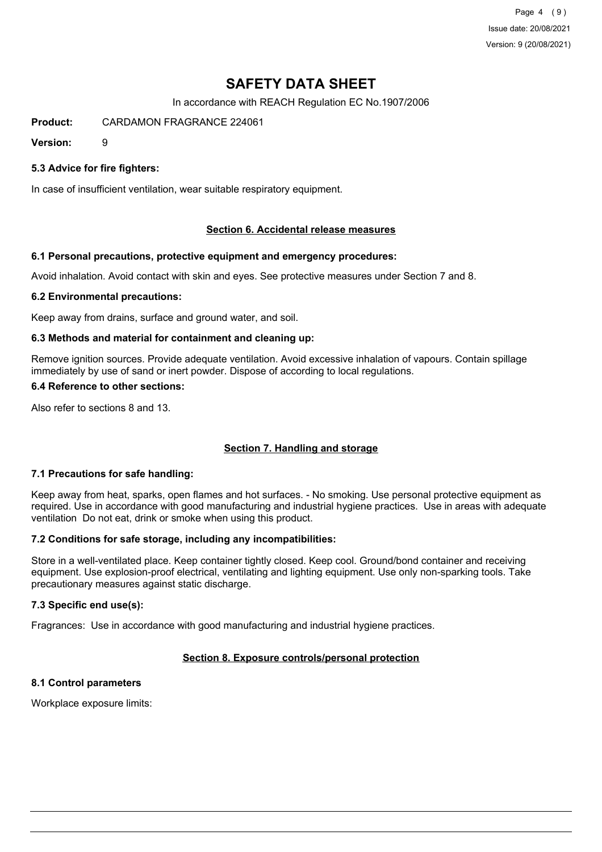Page 4 (9) Issue date: 20/08/2021 Version: 9 (20/08/2021)

# **SAFETY DATA SHEET**

In accordance with REACH Regulation EC No.1907/2006

**Product:** CARDAMON FRAGRANCE 224061

**Version:** 9

## **5.3 Advice for fire fighters:**

In case of insufficient ventilation, wear suitable respiratory equipment.

## **Section 6. Accidental release measures**

#### **6.1 Personal precautions, protective equipment and emergency procedures:**

Avoid inhalation. Avoid contact with skin and eyes. See protective measures under Section 7 and 8.

#### **6.2 Environmental precautions:**

Keep away from drains, surface and ground water, and soil.

#### **6.3 Methods and material for containment and cleaning up:**

Remove ignition sources. Provide adequate ventilation. Avoid excessive inhalation of vapours. Contain spillage immediately by use of sand or inert powder. Dispose of according to local regulations.

#### **6.4 Reference to other sections:**

Also refer to sections 8 and 13.

## **Section 7. Handling and storage**

## **7.1 Precautions for safe handling:**

Keep away from heat, sparks, open flames and hot surfaces. - No smoking. Use personal protective equipment as required. Use in accordance with good manufacturing and industrial hygiene practices. Use in areas with adequate ventilation Do not eat, drink or smoke when using this product.

## **7.2 Conditions for safe storage, including any incompatibilities:**

Store in a well-ventilated place. Keep container tightly closed. Keep cool. Ground/bond container and receiving equipment. Use explosion-proof electrical, ventilating and lighting equipment. Use only non-sparking tools. Take precautionary measures against static discharge.

## **7.3 Specific end use(s):**

Fragrances: Use in accordance with good manufacturing and industrial hygiene practices.

## **Section 8. Exposure controls/personal protection**

## **8.1 Control parameters**

Workplace exposure limits: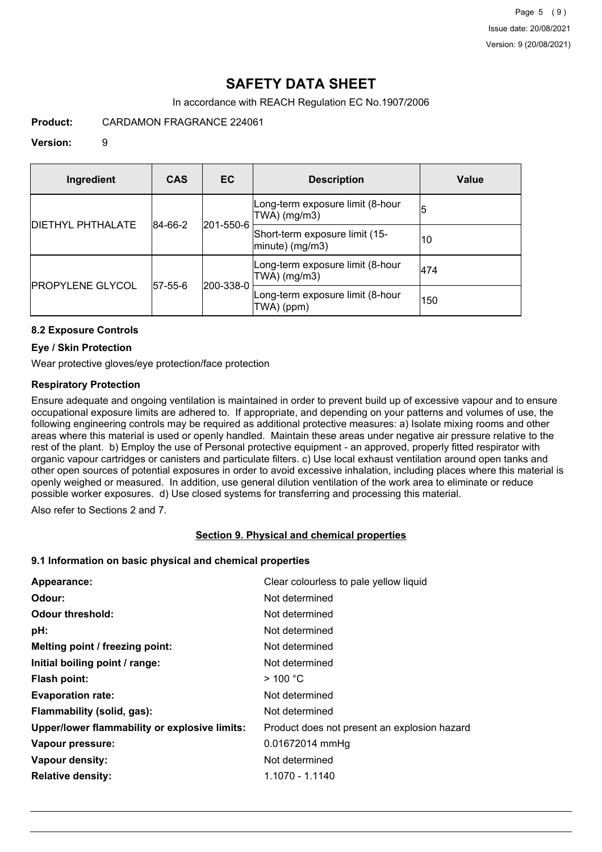# **SAFETY DATA SHEET**

In accordance with REACH Regulation EC No.1907/2006

**Product:** CARDAMON FRAGRANCE 224061

## **Version:** 9

| Ingredient               | <b>CAS</b>  | EC        | <b>Description</b>                                   | Value |
|--------------------------|-------------|-----------|------------------------------------------------------|-------|
| <b>DIETHYL PHTHALATE</b> | 84-66-2     | 201-550-6 | Long-term exposure limit (8-hour<br>TWA) (mg/m3)     | 15    |
|                          |             |           | Short-term exposure limit (15-<br>$ minute)$ (mg/m3) | 10    |
| <b>PROPYLENE GLYCOL</b>  | $ 57-55-6 $ |           | Long-term exposure limit (8-hour<br>TWA) (mg/m3)     | 474   |
|                          |             | 200-338-0 | Long-term exposure limit (8-hour<br>TWA) (ppm)       | 150   |

## **8.2 Exposure Controls**

## **Eye / Skin Protection**

Wear protective gloves/eye protection/face protection

## **Respiratory Protection**

Ensure adequate and ongoing ventilation is maintained in order to prevent build up of excessive vapour and to ensure occupational exposure limits are adhered to. If appropriate, and depending on your patterns and volumes of use, the following engineering controls may be required as additional protective measures: a) Isolate mixing rooms and other areas where this material is used or openly handled. Maintain these areas under negative air pressure relative to the rest of the plant. b) Employ the use of Personal protective equipment - an approved, properly fitted respirator with organic vapour cartridges or canisters and particulate filters. c) Use local exhaust ventilation around open tanks and other open sources of potential exposures in order to avoid excessive inhalation, including places where this material is openly weighed or measured. In addition, use general dilution ventilation of the work area to eliminate or reduce possible worker exposures. d) Use closed systems for transferring and processing this material.

Also refer to Sections 2 and 7.

## **Section 9. Physical and chemical properties**

## **9.1 Information on basic physical and chemical properties**

| Appearance:                                   | Clear colourless to pale yellow liquid       |
|-----------------------------------------------|----------------------------------------------|
| Odour:                                        | Not determined                               |
| <b>Odour threshold:</b>                       | Not determined                               |
| pH:                                           | Not determined                               |
| Melting point / freezing point:               | Not determined                               |
| Initial boiling point / range:                | Not determined                               |
| Flash point:                                  | $>$ 100 °C                                   |
| <b>Evaporation rate:</b>                      | Not determined                               |
| Flammability (solid, gas):                    | Not determined                               |
| Upper/lower flammability or explosive limits: | Product does not present an explosion hazard |
| Vapour pressure:                              | 0.01672014 mmHg                              |
| Vapour density:                               | Not determined                               |
| <b>Relative density:</b>                      | 1.1070 - 1.1140                              |
|                                               |                                              |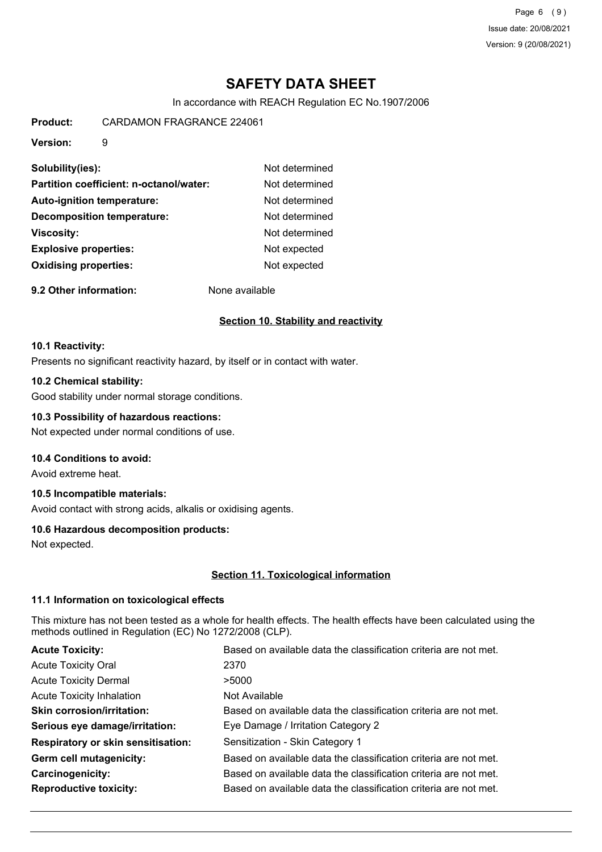Page 6 (9) Issue date: 20/08/2021 Version: 9 (20/08/2021)

# **SAFETY DATA SHEET**

In accordance with REACH Regulation EC No.1907/2006

**Product:** CARDAMON FRAGRANCE 224061

**Version:** 9

| Solubility(ies):                        | Not determined |
|-----------------------------------------|----------------|
| Partition coefficient: n-octanol/water: | Not determined |
| <b>Auto-ignition temperature:</b>       | Not determined |
| Decomposition temperature:              | Not determined |
| <b>Viscosity:</b>                       | Not determined |
| <b>Explosive properties:</b>            | Not expected   |
| <b>Oxidising properties:</b>            | Not expected   |

**9.2 Other information:** None available

## **Section 10. Stability and reactivity**

#### **10.1 Reactivity:**

Presents no significant reactivity hazard, by itself or in contact with water.

#### **10.2 Chemical stability:**

Good stability under normal storage conditions.

## **10.3 Possibility of hazardous reactions:**

Not expected under normal conditions of use.

## **10.4 Conditions to avoid:**

Avoid extreme heat.

## **10.5 Incompatible materials:**

Avoid contact with strong acids, alkalis or oxidising agents.

## **10.6 Hazardous decomposition products:**

Not expected.

## **Section 11. Toxicological information**

## **11.1 Information on toxicological effects**

This mixture has not been tested as a whole for health effects. The health effects have been calculated using the methods outlined in Regulation (EC) No 1272/2008 (CLP).

| <b>Acute Toxicity:</b>                    | Based on available data the classification criteria are not met. |
|-------------------------------------------|------------------------------------------------------------------|
| <b>Acute Toxicity Oral</b>                | 2370                                                             |
| <b>Acute Toxicity Dermal</b>              | >5000                                                            |
| <b>Acute Toxicity Inhalation</b>          | Not Available                                                    |
| <b>Skin corrosion/irritation:</b>         | Based on available data the classification criteria are not met. |
| Serious eye damage/irritation:            | Eye Damage / Irritation Category 2                               |
| <b>Respiratory or skin sensitisation:</b> | Sensitization - Skin Category 1                                  |
| Germ cell mutagenicity:                   | Based on available data the classification criteria are not met. |
| Carcinogenicity:                          | Based on available data the classification criteria are not met. |
| <b>Reproductive toxicity:</b>             | Based on available data the classification criteria are not met. |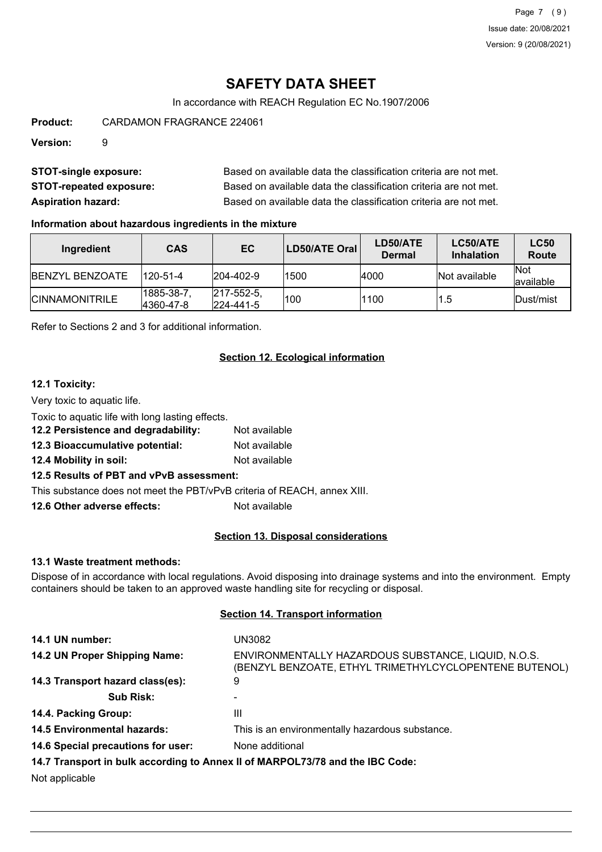Page 7 (9) Issue date: 20/08/2021 Version: 9 (20/08/2021)

# **SAFETY DATA SHEET**

In accordance with REACH Regulation EC No.1907/2006

**Product:** CARDAMON FRAGRANCE 224061

**Version:** 9

| <b>STOT-single exposure:</b>   | Based on available data the classification criteria are not met. |
|--------------------------------|------------------------------------------------------------------|
| <b>STOT-repeated exposure:</b> | Based on available data the classification criteria are not met. |
| <b>Aspiration hazard:</b>      | Based on available data the classification criteria are not met. |

## **Information about hazardous ingredients in the mixture**

| Ingredient              | <b>CAS</b>             | EC                                     | LD50/ATE Oral | LD50/ATE<br>Dermal | LC50/ATE<br><b>Inhalation</b> | <b>LC50</b><br>Route     |
|-------------------------|------------------------|----------------------------------------|---------------|--------------------|-------------------------------|--------------------------|
| <b>IBENZYL BENZOATE</b> | 120-51-4               | $ 204 - 402 - 9 $                      | 1500          | 4000               | <b>Not available</b>          | <b>Not</b><br>lavailable |
| <b>ICINNAMONITRILE</b>  | 1885-38-7<br>4360-47-8 | $ 217 - 552 - 5 $<br>$ 224 - 441 - 5 $ | 100           | 1100               | 1.5                           | <b>IDust/mist</b>        |

Refer to Sections 2 and 3 for additional information.

## **Section 12. Ecological information**

## **12.1 Toxicity:**

Very toxic to aquatic life.

Toxic to aquatic life with long lasting effects.

- **12.2 Persistence and degradability:** Not available
- **12.3 Bioaccumulative potential:** Not available
- **12.4 Mobility in soil:** Not available

## **12.5 Results of PBT and vPvB assessment:**

This substance does not meet the PBT/vPvB criteria of REACH, annex XIII.

**12.6 Other adverse effects:** Not available

## **Section 13. Disposal considerations**

## **13.1 Waste treatment methods:**

Dispose of in accordance with local regulations. Avoid disposing into drainage systems and into the environment. Empty containers should be taken to an approved waste handling site for recycling or disposal.

## **Section 14. Transport information**

| 14.1 UN number:                    | UN3082                                                                                                        |
|------------------------------------|---------------------------------------------------------------------------------------------------------------|
| 14.2 UN Proper Shipping Name:      | ENVIRONMENTALLY HAZARDOUS SUBSTANCE, LIQUID, N.O.S.<br>(BENZYL BENZOATE, ETHYL TRIMETHYLCYCLOPENTENE BUTENOL) |
| 14.3 Transport hazard class(es):   | 9                                                                                                             |
| <b>Sub Risk:</b>                   | -                                                                                                             |
| 14.4. Packing Group:               | Ш                                                                                                             |
| <b>14.5 Environmental hazards:</b> | This is an environmentally hazardous substance.                                                               |
| 14.6 Special precautions for user: | None additional                                                                                               |
|                                    | 14.7 Transport in bulk according to Annex II of MARPOL73/78 and the IBC Code:                                 |
| Not applicable                     |                                                                                                               |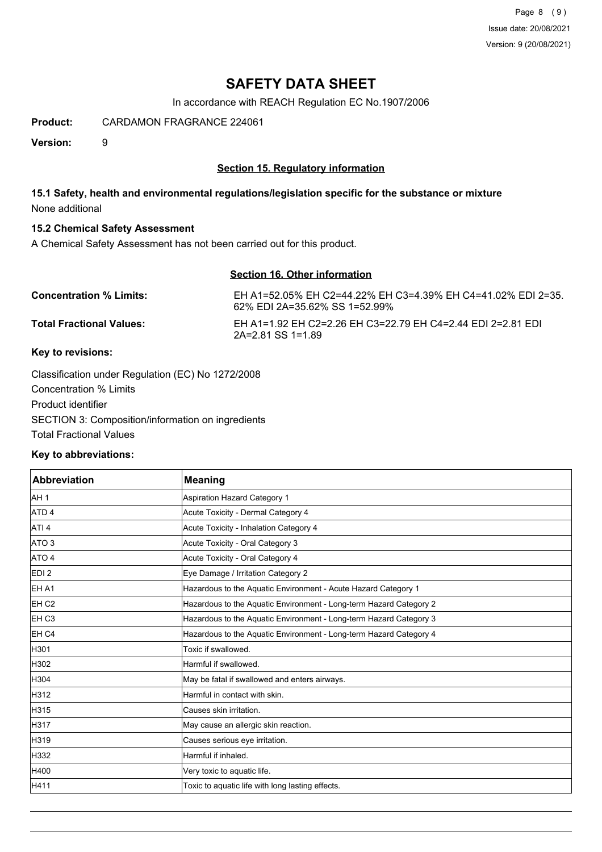Page 8 (9) Issue date: 20/08/2021 Version: 9 (20/08/2021)

# **SAFETY DATA SHEET**

In accordance with REACH Regulation EC No.1907/2006

**Product:** CARDAMON FRAGRANCE 224061

**Version:** 9

## **Section 15. Regulatory information**

## **15.1 Safety, health and environmental regulations/legislation specific for the substance or mixture** None additional

## **15.2 Chemical Safety Assessment**

A Chemical Safety Assessment has not been carried out for this product.

## **Section 16. Other information**

| <b>Concentration % Limits:</b>  | EH A1=52.05% EH C2=44.22% EH C3=4.39% EH C4=41.02% EDI 2=35.<br>62% EDI 2A=35.62% SS 1=52.99% |
|---------------------------------|-----------------------------------------------------------------------------------------------|
| <b>Total Fractional Values:</b> | EH A1=1.92 EH C2=2.26 EH C3=22.79 EH C4=2.44 EDI 2=2.81 EDI<br>2A=2.81 SS 1=1.89              |

## **Key to revisions:**

Classification under Regulation (EC) No 1272/2008 Concentration % Limits Product identifier SECTION 3: Composition/information on ingredients Total Fractional Values

## **Key to abbreviations:**

| <b>Abbreviation</b> | <b>Meaning</b>                                                     |
|---------------------|--------------------------------------------------------------------|
| AH <sub>1</sub>     | Aspiration Hazard Category 1                                       |
| ATD <sub>4</sub>    | Acute Toxicity - Dermal Category 4                                 |
| ATI <sub>4</sub>    | Acute Toxicity - Inhalation Category 4                             |
| ATO <sub>3</sub>    | Acute Toxicity - Oral Category 3                                   |
| ATO 4               | Acute Toxicity - Oral Category 4                                   |
| EDI <sub>2</sub>    | Eye Damage / Irritation Category 2                                 |
| EH A1               | Hazardous to the Aquatic Environment - Acute Hazard Category 1     |
| EH <sub>C2</sub>    | Hazardous to the Aquatic Environment - Long-term Hazard Category 2 |
| EH C <sub>3</sub>   | Hazardous to the Aquatic Environment - Long-term Hazard Category 3 |
| <b>EH C4</b>        | Hazardous to the Aquatic Environment - Long-term Hazard Category 4 |
| H301                | Toxic if swallowed.                                                |
| H302                | Harmful if swallowed.                                              |
| H304                | May be fatal if swallowed and enters airways.                      |
| H312                | Harmful in contact with skin.                                      |
| H315                | Causes skin irritation.                                            |
| H317                | May cause an allergic skin reaction.                               |
| H319                | Causes serious eye irritation.                                     |
| H332                | Harmful if inhaled.                                                |
| H400                | Very toxic to aquatic life.                                        |
| H411                | Toxic to aquatic life with long lasting effects.                   |